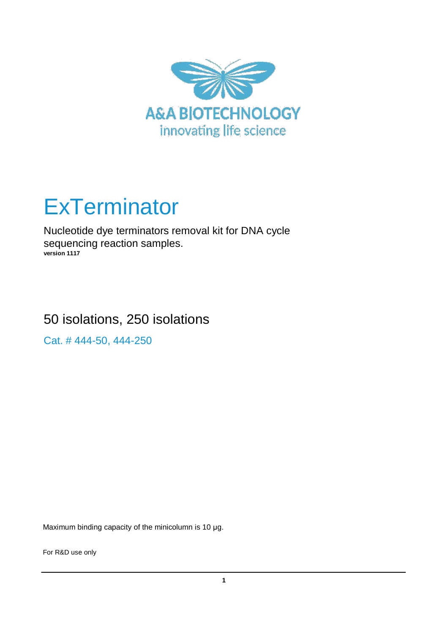

# **ExTerminator**

Nucleotide dye terminators removal kit for DNA cycle sequencing reaction samples. **version 1117**

# 50 isolations, 250 isolations

Cat. # 444-50, 444-250

Maximum binding capacity of the minicolumn is 10 μg.

For R&D use only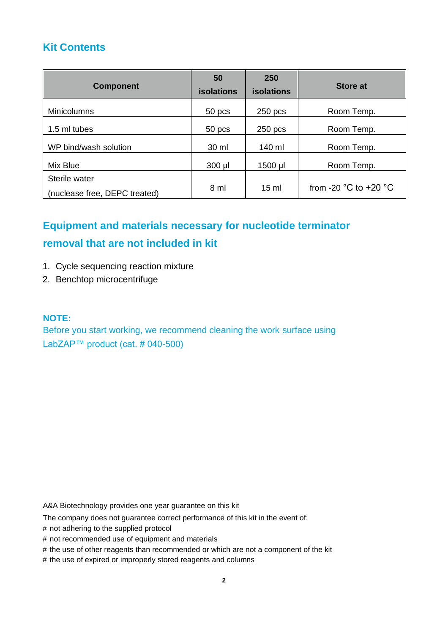## **Kit Contents**

| <b>Component</b>              | 50<br><b>isolations</b> | 250<br><b>isolations</b> | <b>Store at</b>                           |
|-------------------------------|-------------------------|--------------------------|-------------------------------------------|
| <b>Minicolumns</b>            | 50 pcs                  | $250$ pcs                | Room Temp.                                |
| 1.5 ml tubes                  | 50 pcs                  | $250$ pcs                | Room Temp.                                |
| WP bind/wash solution         | 30 ml                   | 140 ml                   | Room Temp.                                |
| Mix Blue                      | 300 µl                  | 1500 µl                  | Room Temp.                                |
| Sterile water                 |                         |                          |                                           |
| (nuclease free, DEPC treated) | 8 ml                    | $15 \text{ ml}$          | from -20 $^{\circ}$ C to +20 $^{\circ}$ C |

## **Equipment and materials necessary for nucleotide terminator removal that are not included in kit**

- 1. Cycle sequencing reaction mixture
- 2. Benchtop microcentrifuge

#### **NOTE:**

Before you start working, we recommend cleaning the work surface using LabZAP™ product (cat. # 040-500)

A&A Biotechnology provides one year guarantee on this kit

The company does not guarantee correct performance of this kit in the event of:

- # not adhering to the supplied protocol
- # not recommended use of equipment and materials
- # the use of other reagents than recommended or which are not a component of the kit
- # the use of expired or improperly stored reagents and columns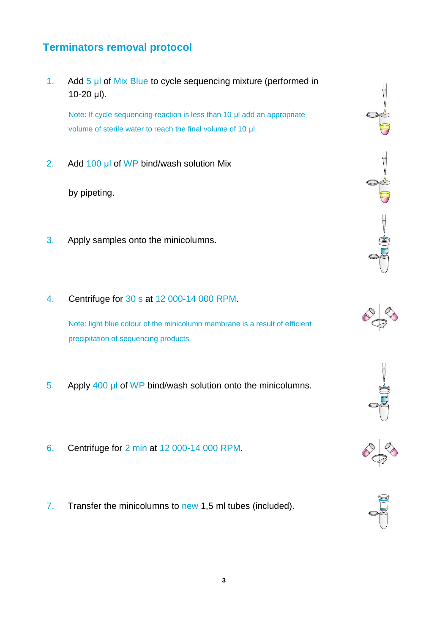### **Terminators removal protocol**

1. Add 5 µl of Mix Blue to cycle sequencing mixture (performed in 10-20 µl).

Note: If cycle sequencing reaction is less than 10 µl add an appropriate volume of sterile water to reach the final volume of 10 µl.

2. Add 100 µl of WP bind/wash solution Mix

by pipeting.

- 3. Apply samples onto the minicolumns.
- 4. Centrifuge for 30 s at 12 000-14 000 RPM.

Note: light blue colour of the minicolumn membrane is a result of efficient precipitation of sequencing products.

- 5. Apply 400 µl of WP bind/wash solution onto the minicolumns.
- 6. Centrifuge for 2 min at 12 000-14 000 RPM.
- 7. Transfer the minicolumns to new 1,5 ml tubes (included).